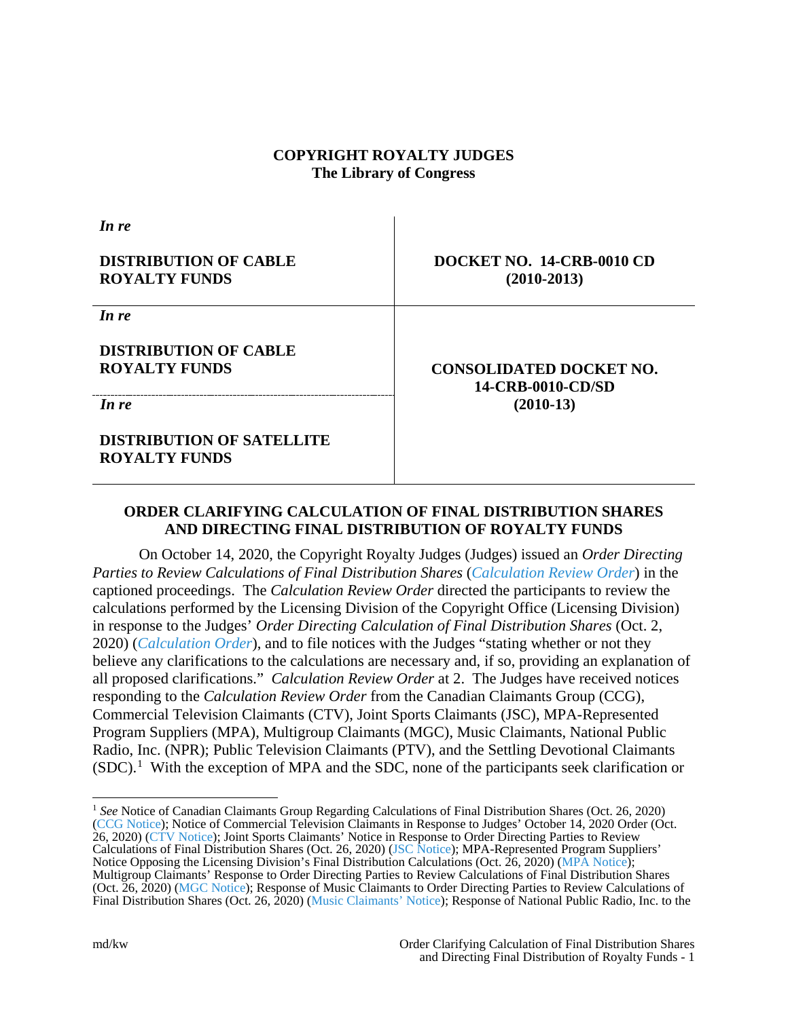## **COPYRIGHT ROYALTY JUDGES The Library of Congress**

*In re* **DISTRIBUTION OF CABLE ROYALTY FUNDS DOCKET NO. 14-CRB-0010 CD (2010-2013)** *In re* **DISTRIBUTION OF CABLE ROYALTY FUNDS CONSOLIDATED DOCKET NO. 14-CRB-0010-CD/SD**  *In re* **(2010-13) DISTRIBUTION OF SATELLITE ROYALTY FUNDS**

# **ORDER CLARIFYING CALCULATION OF FINAL DISTRIBUTION SHARES AND DIRECTING FINAL DISTRIBUTION OF ROYALTY FUNDS**

On October 14, 2020, the Copyright Royalty Judges (Judges) issued an *Order Directing Parties to Review Calculations of Final Distribution Shares* (*[Calculation Review Order](https://app.crb.gov/case/viewDocument/22807)*) in the captioned proceedings. The *Calculation Review Order* directed the participants to review the calculations performed by the Licensing Division of the Copyright Office (Licensing Division) in response to the Judges' *Order Directing Calculation of Final Distribution Shares* (Oct. 2, 2020) (*[Calculation Order](https://app.crb.gov/case/viewDocument/22769)*), and to file notices with the Judges "stating whether or not they believe any clarifications to the calculations are necessary and, if so, providing an explanation of all proposed clarifications." *Calculation Review Order* at 2. The Judges have received notices responding to the *Calculation Review Order* from the Canadian Claimants Group (CCG), Commercial Television Claimants (CTV), Joint Sports Claimants (JSC), MPA-Represented Program Suppliers (MPA), Multigroup Claimants (MGC), Music Claimants, National Public Radio, Inc. (NPR); Public Television Claimants (PTV), and the Settling Devotional Claimants  $(SDC)$ <sup>[1](#page-0-0)</sup>. With the exception of MPA and the SDC, none of the participants seek clarification or

<span id="page-0-0"></span> <sup>1</sup> *See* Notice of Canadian Claimants Group Regarding Calculations of Final Distribution Shares (Oct. 26, 2020) [\(CCG Notice\)](https://app.crb.gov/case/viewDocument/22853); Notice of Commercial Television Claimants in Response to Judges' October 14, 2020 Order (Oct. 26, 2020) [\(CTV Notice\)](https://app.crb.gov/case/viewDocument/22858); Joint Sports Claimants' Notice in Response to Order Directing Parties to Review Calculations of Final Distribution Shares (Oct. 26, 2020) [\(JSC Notice\)](https://app.crb.gov/case/viewDocument/22854); MPA-Represented Program Suppliers' Notice Opposing the Licensing Division's Final Distribution Calculations (Oct. 26, 2020) [\(MPA Notice\)](https://app.crb.gov/case/viewDocument/22856); Multigroup Claimants' Response to Order Directing Parties to Review Calculations of Final Distribution Shares (Oct. 26, 2020) [\(MGC Notice\)](https://app.crb.gov/case/viewDocument/22851); Response of Music Claimants to Order Directing Parties to Review Calculations of Final Distribution Shares (Oct. 26, 2020) [\(Music Claimants' Notice\)](https://app.crb.gov/case/viewDocument/22848); Response of National Public Radio, Inc. to the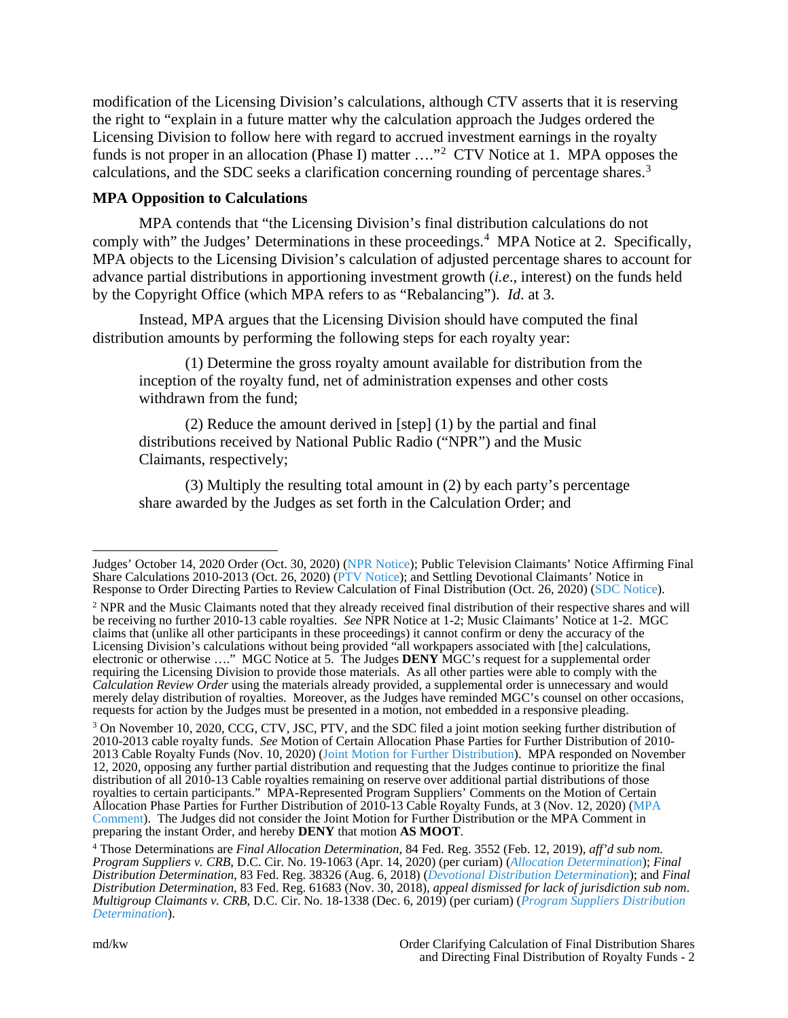modification of the Licensing Division's calculations, although CTV asserts that it is reserving the right to "explain in a future matter why the calculation approach the Judges ordered the Licensing Division to follow here with regard to accrued investment earnings in the royalty funds is not proper in an allocation (Phase I) matter ...."<sup>[2](#page-1-0)</sup> CTV Notice at 1. MPA opposes the calculations, and the SDC seeks a clarification concerning rounding of percentage shares.<sup>[3](#page-1-1)</sup>

## **MPA Opposition to Calculations**

MPA contends that "the Licensing Division's final distribution calculations do not comply with" the Judges' Determinations in these proceedings.<sup>[4](#page-1-2)</sup> MPA Notice at 2. Specifically, MPA objects to the Licensing Division's calculation of adjusted percentage shares to account for advance partial distributions in apportioning investment growth (*i.e*., interest) on the funds held by the Copyright Office (which MPA refers to as "Rebalancing"). *Id*. at 3.

Instead, MPA argues that the Licensing Division should have computed the final distribution amounts by performing the following steps for each royalty year:

(1) Determine the gross royalty amount available for distribution from the inception of the royalty fund, net of administration expenses and other costs withdrawn from the fund;

(2) Reduce the amount derived in [step] (1) by the partial and final distributions received by National Public Radio ("NPR") and the Music Claimants, respectively;

(3) Multiply the resulting total amount in (2) by each party's percentage share awarded by the Judges as set forth in the Calculation Order; and

Judges' October 14, 2020 Order (Oct. 30, 2020) [\(NPR Notice\)](https://app.crb.gov/case/viewDocument/22875); Public Television Claimants' Notice Affirming Final Share Calculations 2010-2013 (Oct. 26, 2020) [\(PTV Notice\)](https://app.crb.gov/case/viewDocument/22852); and Settling Devotional Claimants' Notice in Response to Order Directing Parties to Review Calculation of Final Distribution (Oct. 26, 2020) [\(SDC Notice\)](https://app.crb.gov/case/viewDocument/22849).

<span id="page-1-0"></span><sup>2</sup> NPR and the Music Claimants noted that they already received final distribution of their respective shares and will be receiving no further 2010-13 cable royalties. *See* NPR Notice at 1-2; Music Claimants' Notice at 1-2. MGC claims that (unlike all other participants in these proceedings) it cannot confirm or deny the accuracy of the Licensing Division's calculations without being provided "all workpapers associated with [the] calculations, electronic or otherwise …." MGC Notice at 5. The Judges **DENY** MGC's request for a supplemental order requiring the Licensing Division to provide those materials. As all other parties were able to comply with the *Calculation Review Order* using the materials already provided, a supplemental order is unnecessary and would merely delay distribution of royalties. Moreover, as the Judges have reminded MGC's counsel on other occasions, requests for action by the Judges must be presented in a motion, not embedded in a responsive pleading.

<span id="page-1-1"></span><sup>&</sup>lt;sup>3</sup> On November 10, 2020, CCG, CTV, JSC, PTV, and the SDC filed a joint motion seeking further distribution of 2010-2013 cable royalty funds. *See* Motion of Certain Allocation Phase Parties for Further Distribution of 2010- 2013 Cable Royalty Funds (Nov. 10, 2020) [\(Joint Motion for Further Distribution\)](https://app.crb.gov/case/viewDocument/22901). MPA responded on November 12, 2020, opposing any further partial distribution and requesting that the Judges continue to prioritize the final distribution of all 2010-13 Cable royalties remaining on reserve over additional partial distributions of those royalties to certain participants." MPA-Represented Program Suppliers' Comments on the Motion of Certain Allocation Phase Parties for Further Distribution of 2010-13 Cable Royalty Funds, at 3 (Nov. 12, 2020) [\(MPA](https://app.crb.gov/case/viewDocument/22906)  [Comment\)](https://app.crb.gov/case/viewDocument/22906). The Judges did not consider the Joint Motion for Further Distribution or the MPA Comment in preparing the instant Order, and hereby **DENY** that motion **AS MOOT**.

<span id="page-1-2"></span><sup>4</sup> Those Determinations are *Final Allocation Determination*, 84 Fed. Reg. 3552 (Feb. 12, 2019), *aff'd sub nom. Program Suppliers v. CRB*, D.C. Cir. No. 19-1063 (Apr. 14, 2020) (per curiam) (*[Allocation Determination](https://app.crb.gov/case/viewDocument/3662)*); *Final Distribution Determination*, 83 Fed. Reg. 38326 (Aug. 6, 2018) (*[Devotional Distribution Determination](https://app.crb.gov/case/viewDocument/3426)*); and *Final*  Distribution Determination, 83 Fed. Reg. 61683 (Nov. 30, 2018), appeal dismissed for lack of jurisdiction sub nom.<br>Multigroup Claimants v. CRB, D.C. Cir. No. 18-1338 (Dec. 6, 2019) (per curiam) (Program Suppliers Distribut *[Determination](https://app.crb.gov/case/viewDocument/3651)*).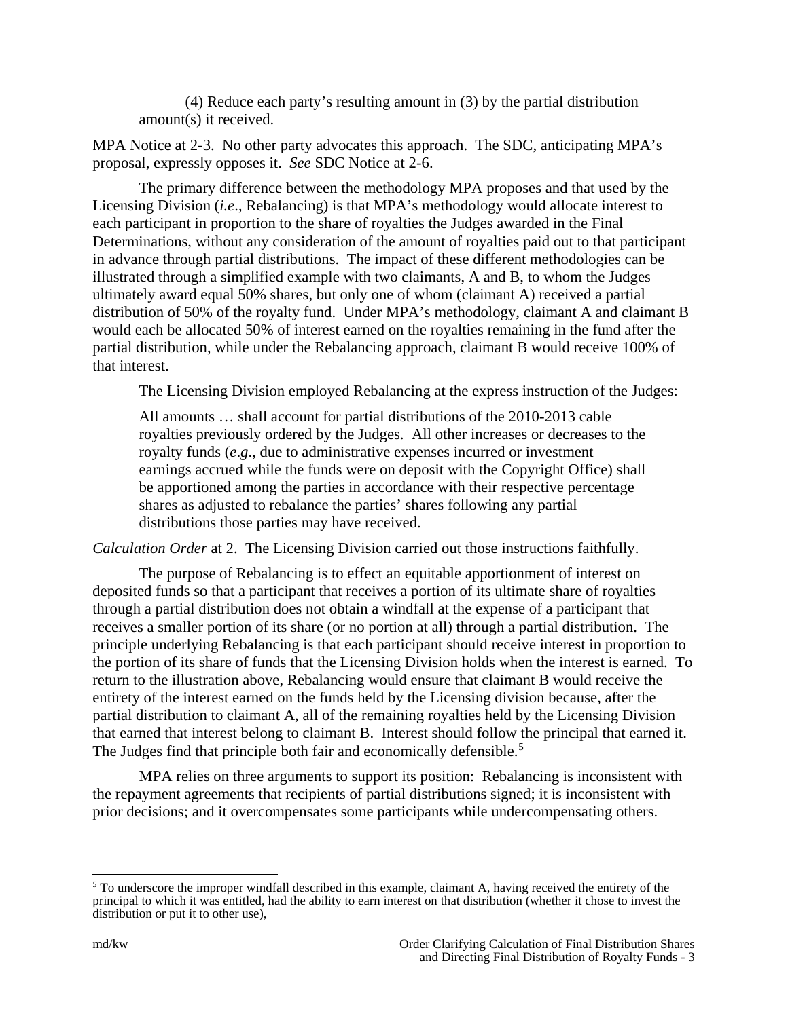(4) Reduce each party's resulting amount in (3) by the partial distribution amount(s) it received.

MPA Notice at 2-3. No other party advocates this approach. The SDC, anticipating MPA's proposal, expressly opposes it. *See* SDC Notice at 2-6.

The primary difference between the methodology MPA proposes and that used by the Licensing Division (*i.e*., Rebalancing) is that MPA's methodology would allocate interest to each participant in proportion to the share of royalties the Judges awarded in the Final Determinations, without any consideration of the amount of royalties paid out to that participant in advance through partial distributions. The impact of these different methodologies can be illustrated through a simplified example with two claimants, A and B, to whom the Judges ultimately award equal 50% shares, but only one of whom (claimant A) received a partial distribution of 50% of the royalty fund. Under MPA's methodology, claimant A and claimant B would each be allocated 50% of interest earned on the royalties remaining in the fund after the partial distribution, while under the Rebalancing approach, claimant B would receive 100% of that interest.

The Licensing Division employed Rebalancing at the express instruction of the Judges:

All amounts … shall account for partial distributions of the 2010-2013 cable royalties previously ordered by the Judges. All other increases or decreases to the royalty funds (*e*.*g*., due to administrative expenses incurred or investment earnings accrued while the funds were on deposit with the Copyright Office) shall be apportioned among the parties in accordance with their respective percentage shares as adjusted to rebalance the parties' shares following any partial distributions those parties may have received.

*Calculation Order* at 2. The Licensing Division carried out those instructions faithfully.

The purpose of Rebalancing is to effect an equitable apportionment of interest on deposited funds so that a participant that receives a portion of its ultimate share of royalties through a partial distribution does not obtain a windfall at the expense of a participant that receives a smaller portion of its share (or no portion at all) through a partial distribution. The principle underlying Rebalancing is that each participant should receive interest in proportion to the portion of its share of funds that the Licensing Division holds when the interest is earned. To return to the illustration above, Rebalancing would ensure that claimant B would receive the entirety of the interest earned on the funds held by the Licensing division because, after the partial distribution to claimant A, all of the remaining royalties held by the Licensing Division that earned that interest belong to claimant B. Interest should follow the principal that earned it. The Judges find that principle both fair and economically defensible.<sup>[5](#page-2-0)</sup>

MPA relies on three arguments to support its position: Rebalancing is inconsistent with the repayment agreements that recipients of partial distributions signed; it is inconsistent with prior decisions; and it overcompensates some participants while undercompensating others.

<span id="page-2-0"></span> <sup>5</sup> To underscore the improper windfall described in this example, claimant A, having received the entirety of the principal to which it was entitled, had the ability to earn interest on that distribution (whether it chose to invest the distribution or put it to other use),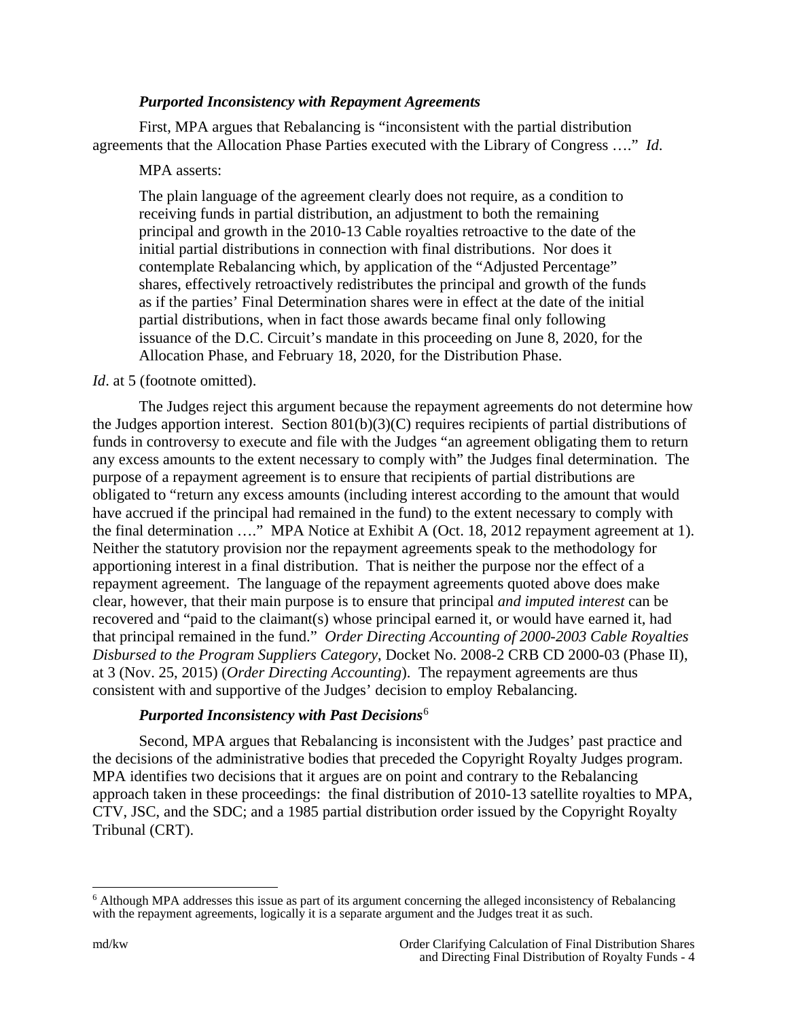## *Purported Inconsistency with Repayment Agreements*

First, MPA argues that Rebalancing is "inconsistent with the partial distribution agreements that the Allocation Phase Parties executed with the Library of Congress …." *Id*.

## MPA asserts:

The plain language of the agreement clearly does not require, as a condition to receiving funds in partial distribution, an adjustment to both the remaining principal and growth in the 2010-13 Cable royalties retroactive to the date of the initial partial distributions in connection with final distributions. Nor does it contemplate Rebalancing which, by application of the "Adjusted Percentage" shares, effectively retroactively redistributes the principal and growth of the funds as if the parties' Final Determination shares were in effect at the date of the initial partial distributions, when in fact those awards became final only following issuance of the D.C. Circuit's mandate in this proceeding on June 8, 2020, for the Allocation Phase, and February 18, 2020, for the Distribution Phase.

#### *Id.* at 5 (footnote omitted).

The Judges reject this argument because the repayment agreements do not determine how the Judges apportion interest. Section 801(b)(3)(C) requires recipients of partial distributions of funds in controversy to execute and file with the Judges "an agreement obligating them to return any excess amounts to the extent necessary to comply with" the Judges final determination. The purpose of a repayment agreement is to ensure that recipients of partial distributions are obligated to "return any excess amounts (including interest according to the amount that would have accrued if the principal had remained in the fund) to the extent necessary to comply with the final determination …." MPA Notice at Exhibit A (Oct. 18, 2012 repayment agreement at 1). Neither the statutory provision nor the repayment agreements speak to the methodology for apportioning interest in a final distribution. That is neither the purpose nor the effect of a repayment agreement. The language of the repayment agreements quoted above does make clear, however, that their main purpose is to ensure that principal *and imputed interest* can be recovered and "paid to the claimant(s) whose principal earned it, or would have earned it, had that principal remained in the fund." *Order Directing Accounting of 2000-2003 Cable Royalties Disbursed to the Program Suppliers Category*, Docket No. 2008-2 CRB CD 2000-03 (Phase II), at 3 (Nov. 25, 2015) (*Order Directing Accounting*). The repayment agreements are thus consistent with and supportive of the Judges' decision to employ Rebalancing.

# *Purported Inconsistency with Past Decisions*[6](#page-3-0)

Second, MPA argues that Rebalancing is inconsistent with the Judges' past practice and the decisions of the administrative bodies that preceded the Copyright Royalty Judges program. MPA identifies two decisions that it argues are on point and contrary to the Rebalancing approach taken in these proceedings: the final distribution of 2010-13 satellite royalties to MPA, CTV, JSC, and the SDC; and a 1985 partial distribution order issued by the Copyright Royalty Tribunal (CRT).

<span id="page-3-0"></span> <sup>6</sup> Although MPA addresses this issue as part of its argument concerning the alleged inconsistency of Rebalancing with the repayment agreements, logically it is a separate argument and the Judges treat it as such.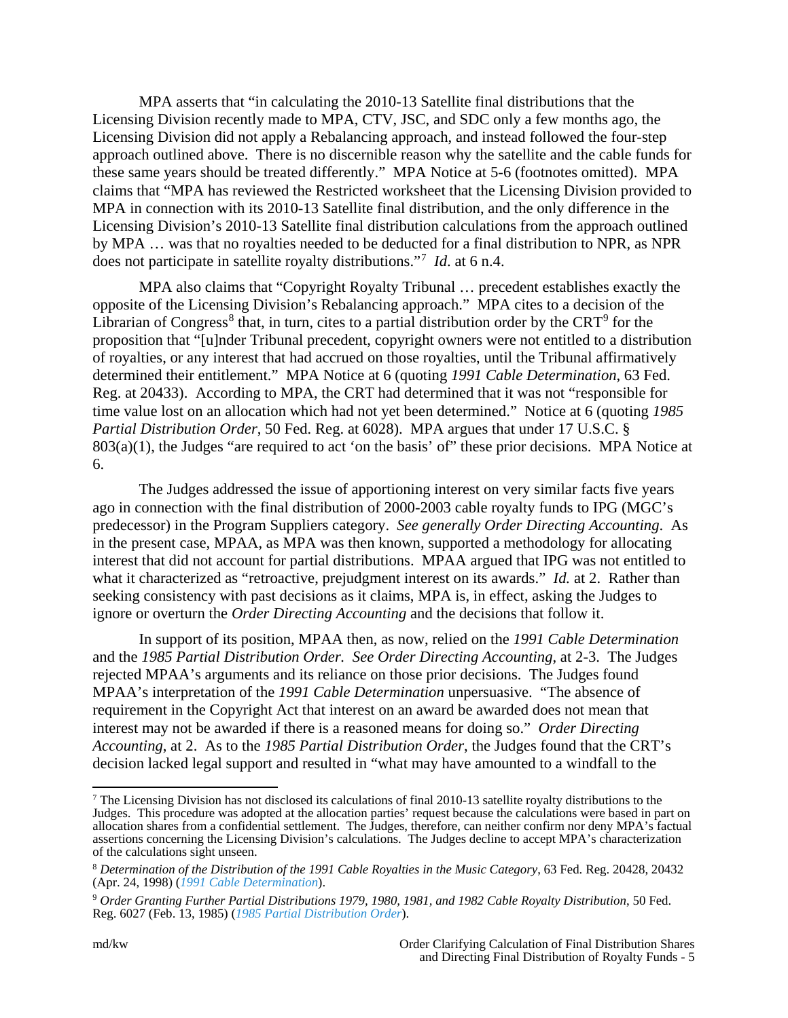MPA asserts that "in calculating the 2010-13 Satellite final distributions that the Licensing Division recently made to MPA, CTV, JSC, and SDC only a few months ago, the Licensing Division did not apply a Rebalancing approach, and instead followed the four-step approach outlined above. There is no discernible reason why the satellite and the cable funds for these same years should be treated differently." MPA Notice at 5-6 (footnotes omitted). MPA claims that "MPA has reviewed the Restricted worksheet that the Licensing Division provided to MPA in connection with its 2010-13 Satellite final distribution, and the only difference in the Licensing Division's 2010-13 Satellite final distribution calculations from the approach outlined by MPA … was that no royalties needed to be deducted for a final distribution to NPR, as NPR does not participate in satellite royalty distributions."[7](#page-4-0) *Id*. at 6 n.4.

MPA also claims that "Copyright Royalty Tribunal … precedent establishes exactly the opposite of the Licensing Division's Rebalancing approach." MPA cites to a decision of the Librarian of Congress<sup>[8](#page-4-1)</sup> that, in turn, cites to a partial distribution order by the  $CRT<sup>9</sup>$  $CRT<sup>9</sup>$  $CRT<sup>9</sup>$  for the proposition that "[u]nder Tribunal precedent, copyright owners were not entitled to a distribution of royalties, or any interest that had accrued on those royalties, until the Tribunal affirmatively determined their entitlement." MPA Notice at 6 (quoting *1991 Cable Determination*, 63 Fed. Reg. at 20433). According to MPA, the CRT had determined that it was not "responsible for time value lost on an allocation which had not yet been determined." Notice at 6 (quoting *1985 Partial Distribution Order*, 50 Fed. Reg. at 6028). MPA argues that under 17 U.S.C. §  $803(a)(1)$ , the Judges "are required to act 'on the basis' of" these prior decisions. MPA Notice at 6.

The Judges addressed the issue of apportioning interest on very similar facts five years ago in connection with the final distribution of 2000-2003 cable royalty funds to IPG (MGC's predecessor) in the Program Suppliers category. *See generally Order Directing Accounting*. As in the present case, MPAA, as MPA was then known, supported a methodology for allocating interest that did not account for partial distributions. MPAA argued that IPG was not entitled to what it characterized as "retroactive, prejudgment interest on its awards." *Id.* at 2. Rather than seeking consistency with past decisions as it claims, MPA is, in effect, asking the Judges to ignore or overturn the *Order Directing Accounting* and the decisions that follow it.

In support of its position, MPAA then, as now, relied on the *1991 Cable Determination* and the *1985 Partial Distribution Order. See Order Directing Accounting*, at 2-3. The Judges rejected MPAA's arguments and its reliance on those prior decisions. The Judges found MPAA's interpretation of the *1991 Cable Determination* unpersuasive. "The absence of requirement in the Copyright Act that interest on an award be awarded does not mean that interest may not be awarded if there is a reasoned means for doing so." *Order Directing Accounting*, at 2. As to the *1985 Partial Distribution Order*, the Judges found that the CRT's decision lacked legal support and resulted in "what may have amounted to a windfall to the

<span id="page-4-0"></span> $7$  The Licensing Division has not disclosed its calculations of final 2010-13 satellite royalty distributions to the Judges. This procedure was adopted at the allocation parties' request because the calculations were based in part on allocation shares from a confidential settlement. The Judges, therefore, can neither confirm nor deny MPA's factual assertions concerning the Licensing Division's calculations. The Judges decline to accept MPA's characterization of the calculations sight unseen.

<span id="page-4-1"></span><sup>8</sup> *Determination of the Distribution of the 1991 Cable Royalties in the Music Category*, 63 Fed. Reg. 20428, 20432 (Apr. 24, 1998) (*[1991 Cable Determination](https://www.govinfo.gov/content/pkg/FR-1998-04-24/pdf/98-10923.pdf)*).

<span id="page-4-2"></span><sup>9</sup> *Order Granting Further Partial Distributions 1979, 1980, 1981, and 1982 Cable Royalty Distribution*, 50 Fed. Reg. 6027 (Feb. 13, 1985) (*[1985 Partial Distribution Order](https://s3.amazonaws.com/archives.federalregister.gov/issue_slice/1985/2/13/6026-6029.pdf#page=2)*).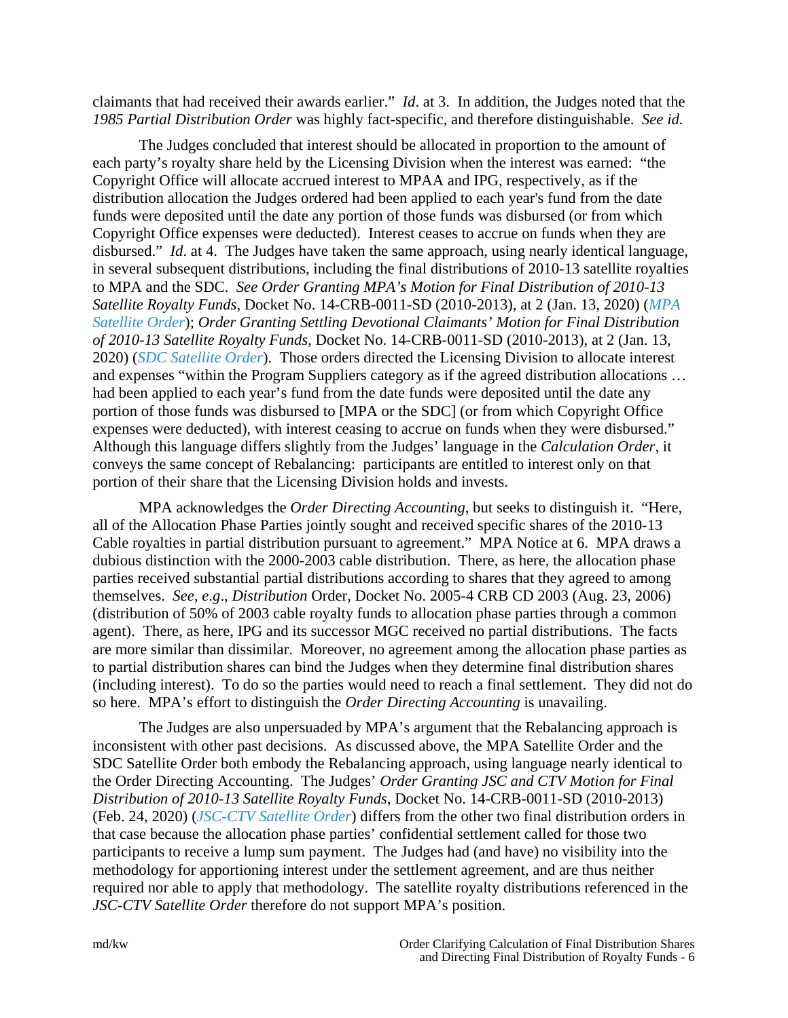claimants that had received their awards earlier." *Id*. at 3. In addition, the Judges noted that the *1985 Partial Distribution Order* was highly fact-specific, and therefore distinguishable. *See id.*

The Judges concluded that interest should be allocated in proportion to the amount of each party's royalty share held by the Licensing Division when the interest was earned: "the Copyright Office will allocate accrued interest to MPAA and IPG, respectively, as if the distribution allocation the Judges ordered had been applied to each year's fund from the date funds were deposited until the date any portion of those funds was disbursed (or from which Copyright Office expenses were deducted). Interest ceases to accrue on funds when they are disbursed." *Id*. at 4. The Judges have taken the same approach, using nearly identical language, in several subsequent distributions, including the final distributions of 2010-13 satellite royalties to MPA and the SDC. *See Order Granting MPA's Motion for Final Distribution of 2010-13 Satellite Royalty Funds*, Docket No. 14-CRB-0011-SD (2010-2013), at 2 (Jan. 13, 2020) (*[MPA](https://app.crb.gov/case/viewDocument/20239)  [Satellite Order](https://app.crb.gov/case/viewDocument/20239)*); *Order Granting Settling Devotional Claimants' Motion for Final Distribution of 2010-13 Satellite Royalty Funds*, Docket No. 14-CRB-0011-SD (2010-2013), at 2 (Jan. 13, 2020) (*[SDC Satellite Order](https://app.crb.gov/case/viewDocument/20243)*). Those orders directed the Licensing Division to allocate interest and expenses "within the Program Suppliers category as if the agreed distribution allocations … had been applied to each year's fund from the date funds were deposited until the date any portion of those funds was disbursed to [MPA or the SDC] (or from which Copyright Office expenses were deducted), with interest ceasing to accrue on funds when they were disbursed." Although this language differs slightly from the Judges' language in the *Calculation Order*, it conveys the same concept of Rebalancing: participants are entitled to interest only on that portion of their share that the Licensing Division holds and invests.

MPA acknowledges the *Order Directing Accounting*, but seeks to distinguish it. "Here, all of the Allocation Phase Parties jointly sought and received specific shares of the 2010-13 Cable royalties in partial distribution pursuant to agreement." MPA Notice at 6. MPA draws a dubious distinction with the 2000-2003 cable distribution. There, as here, the allocation phase parties received substantial partial distributions according to shares that they agreed to among themselves. *See*, *e*.*g*., *Distribution* Order, Docket No. 2005-4 CRB CD 2003 (Aug. 23, 2006) (distribution of 50% of 2003 cable royalty funds to allocation phase parties through a common agent). There, as here, IPG and its successor MGC received no partial distributions. The facts are more similar than dissimilar. Moreover, no agreement among the allocation phase parties as to partial distribution shares can bind the Judges when they determine final distribution shares (including interest). To do so the parties would need to reach a final settlement. They did not do so here. MPA's effort to distinguish the *Order Directing Accounting* is unavailing.

The Judges are also unpersuaded by MPA's argument that the Rebalancing approach is inconsistent with other past decisions. As discussed above, the MPA Satellite Order and the SDC Satellite Order both embody the Rebalancing approach, using language nearly identical to the Order Directing Accounting. The Judges' *Order Granting JSC and CTV Motion for Final Distribution of 2010-13 Satellite Royalty Funds*, Docket No. 14-CRB-0011-SD (2010-2013) (Feb. 24, 2020) (*[JSC-CTV Satellite Order](https://app.crb.gov/case/viewDocument/21044)*) differs from the other two final distribution orders in that case because the allocation phase parties' confidential settlement called for those two participants to receive a lump sum payment. The Judges had (and have) no visibility into the methodology for apportioning interest under the settlement agreement, and are thus neither required nor able to apply that methodology. The satellite royalty distributions referenced in the *JSC-CTV Satellite Order* therefore do not support MPA's position.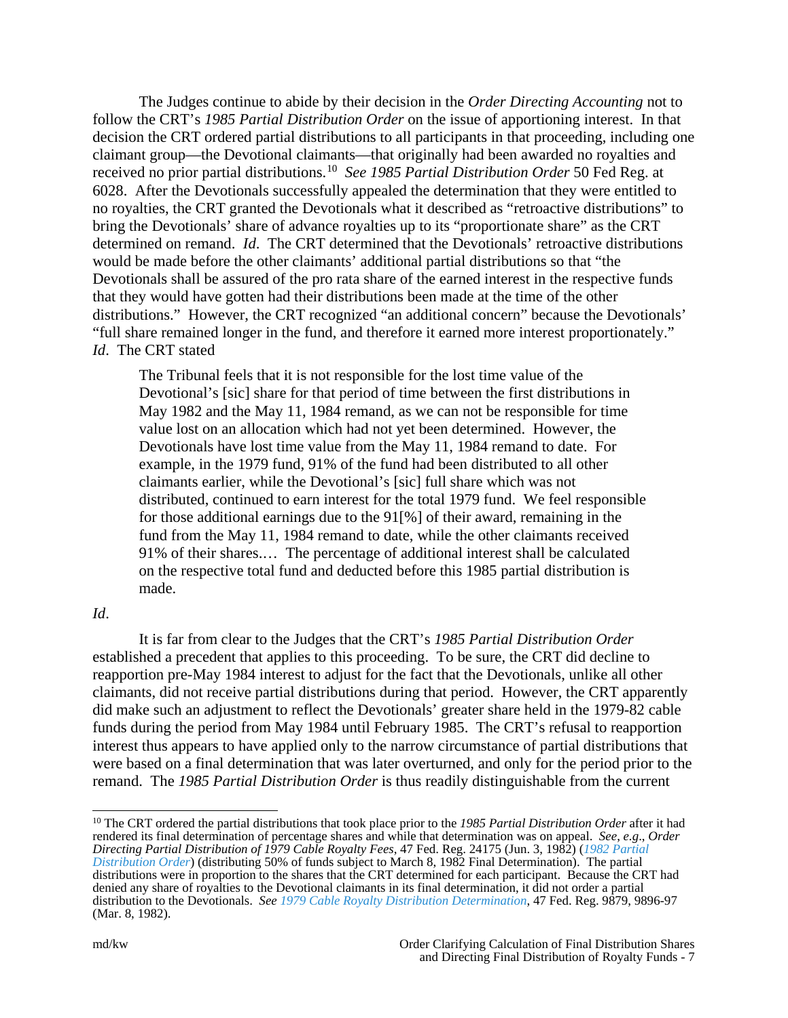The Judges continue to abide by their decision in the *Order Directing Accounting* not to follow the CRT's *1985 Partial Distribution Order* on the issue of apportioning interest. In that decision the CRT ordered partial distributions to all participants in that proceeding, including one claimant group—the Devotional claimants—that originally had been awarded no royalties and received no prior partial distributions.[10](#page-6-0) *See 1985 Partial Distribution Order* 50 Fed Reg. at 6028. After the Devotionals successfully appealed the determination that they were entitled to no royalties, the CRT granted the Devotionals what it described as "retroactive distributions" to bring the Devotionals' share of advance royalties up to its "proportionate share" as the CRT determined on remand. *Id*. The CRT determined that the Devotionals' retroactive distributions would be made before the other claimants' additional partial distributions so that "the Devotionals shall be assured of the pro rata share of the earned interest in the respective funds that they would have gotten had their distributions been made at the time of the other distributions." However, the CRT recognized "an additional concern" because the Devotionals' "full share remained longer in the fund, and therefore it earned more interest proportionately." *Id*. The CRT stated

The Tribunal feels that it is not responsible for the lost time value of the Devotional's [sic] share for that period of time between the first distributions in May 1982 and the May 11, 1984 remand, as we can not be responsible for time value lost on an allocation which had not yet been determined. However, the Devotionals have lost time value from the May 11, 1984 remand to date. For example, in the 1979 fund, 91% of the fund had been distributed to all other claimants earlier, while the Devotional's [sic] full share which was not distributed, continued to earn interest for the total 1979 fund. We feel responsible for those additional earnings due to the 91[%] of their award, remaining in the fund from the May 11, 1984 remand to date, while the other claimants received 91% of their shares.… The percentage of additional interest shall be calculated on the respective total fund and deducted before this 1985 partial distribution is made.

## *Id*.

It is far from clear to the Judges that the CRT's *1985 Partial Distribution Order* established a precedent that applies to this proceeding. To be sure, the CRT did decline to reapportion pre-May 1984 interest to adjust for the fact that the Devotionals, unlike all other claimants, did not receive partial distributions during that period. However, the CRT apparently did make such an adjustment to reflect the Devotionals' greater share held in the 1979-82 cable funds during the period from May 1984 until February 1985. The CRT's refusal to reapportion interest thus appears to have applied only to the narrow circumstance of partial distributions that were based on a final determination that was later overturned, and only for the period prior to the remand. The *1985 Partial Distribution Order* is thus readily distinguishable from the current

<span id="page-6-0"></span> <sup>10</sup> The CRT ordered the partial distributions that took place prior to the *1985 Partial Distribution Order* after it had rendered its final determination of percentage shares and while that determination was on appeal. *See*, *e.g*., *Order Directing Partial Distribution of 1979 Cable Royalty Fees*, 47 Fed. Reg. 24175 (Jun. 3, 1982) (*[1982 Partial](https://s3.amazonaws.com/archives.federalregister.gov/issue_slice/1982/6/3/24174-24176.pdf#page=2)  [Distribution Order](https://s3.amazonaws.com/archives.federalregister.gov/issue_slice/1982/6/3/24174-24176.pdf#page=2)*) (distributing 50% of funds subject to March 8, 1982 Final Determination). The partial distributions were in proportion to the shares that the CRT determined for each participant. Because the CRT had denied any share of royalties to the Devotional claimants in its final determination, it did not order a partial distribution to the Devotionals. *See [1979 Cable Royalty Distribution Determination](https://s3.amazonaws.com/archives.federalregister.gov/issue_slice/1982/3/8/9877-9906.pdf#page=21)*, 47 Fed. Reg. 9879, 9896-97 (Mar. 8, 1982).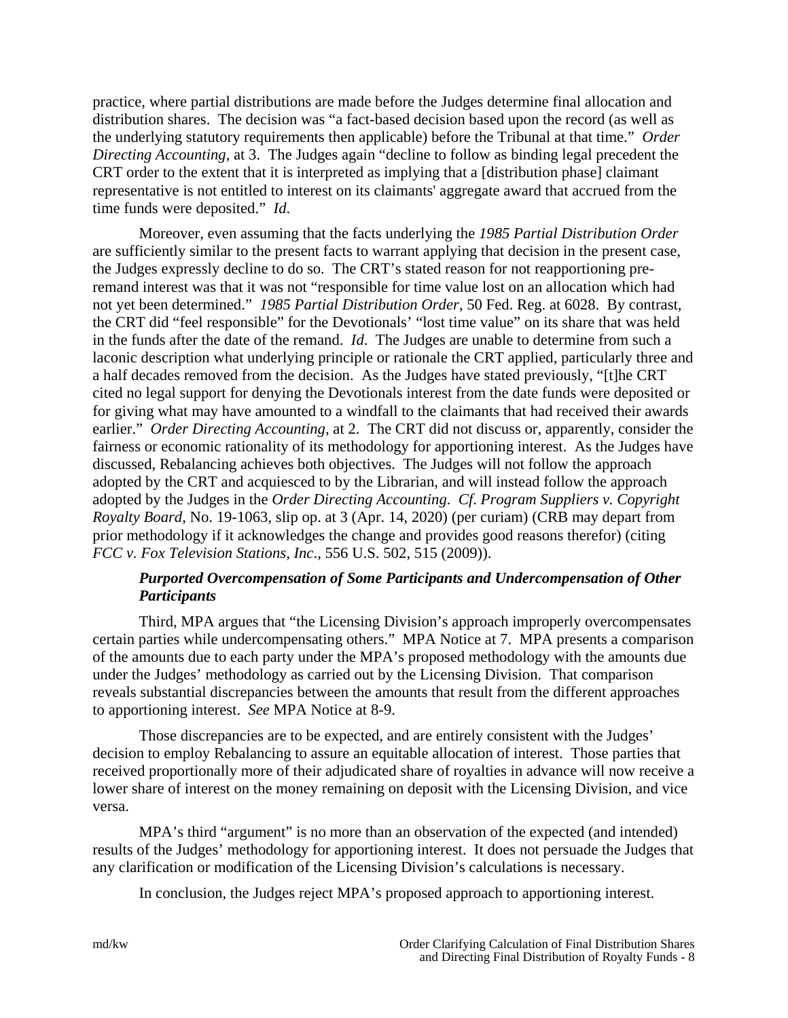practice, where partial distributions are made before the Judges determine final allocation and distribution shares. The decision was "a fact-based decision based upon the record (as well as the underlying statutory requirements then applicable) before the Tribunal at that time." *Order Directing Accounting*, at 3. The Judges again "decline to follow as binding legal precedent the CRT order to the extent that it is interpreted as implying that a [distribution phase] claimant representative is not entitled to interest on its claimants' aggregate award that accrued from the time funds were deposited." *Id*.

Moreover, even assuming that the facts underlying the *1985 Partial Distribution Order* are sufficiently similar to the present facts to warrant applying that decision in the present case, the Judges expressly decline to do so. The CRT's stated reason for not reapportioning preremand interest was that it was not "responsible for time value lost on an allocation which had not yet been determined." *1985 Partial Distribution Order*, 50 Fed. Reg. at 6028. By contrast, the CRT did "feel responsible" for the Devotionals' "lost time value" on its share that was held in the funds after the date of the remand. *Id*. The Judges are unable to determine from such a laconic description what underlying principle or rationale the CRT applied, particularly three and a half decades removed from the decision. As the Judges have stated previously, "[t]he CRT cited no legal support for denying the Devotionals interest from the date funds were deposited or for giving what may have amounted to a windfall to the claimants that had received their awards earlier." *Order Directing Accounting*, at 2. The CRT did not discuss or, apparently, consider the fairness or economic rationality of its methodology for apportioning interest. As the Judges have discussed, Rebalancing achieves both objectives. The Judges will not follow the approach adopted by the CRT and acquiesced to by the Librarian, and will instead follow the approach adopted by the Judges in the *Order Directing Accounting*. *Cf*. *Program Suppliers v. Copyright Royalty Board*, No. 19-1063, slip op. at 3 (Apr. 14, 2020) (per curiam) (CRB may depart from prior methodology if it acknowledges the change and provides good reasons therefor) (citing *FCC v. Fox Television Stations, Inc*., 556 U.S. 502, 515 (2009)).

# *Purported Overcompensation of Some Participants and Undercompensation of Other Participants*

Third, MPA argues that "the Licensing Division's approach improperly overcompensates certain parties while undercompensating others." MPA Notice at 7. MPA presents a comparison of the amounts due to each party under the MPA's proposed methodology with the amounts due under the Judges' methodology as carried out by the Licensing Division. That comparison reveals substantial discrepancies between the amounts that result from the different approaches to apportioning interest. *See* MPA Notice at 8-9.

Those discrepancies are to be expected, and are entirely consistent with the Judges' decision to employ Rebalancing to assure an equitable allocation of interest. Those parties that received proportionally more of their adjudicated share of royalties in advance will now receive a lower share of interest on the money remaining on deposit with the Licensing Division, and vice versa.

MPA's third "argument" is no more than an observation of the expected (and intended) results of the Judges' methodology for apportioning interest. It does not persuade the Judges that any clarification or modification of the Licensing Division's calculations is necessary.

In conclusion, the Judges reject MPA's proposed approach to apportioning interest.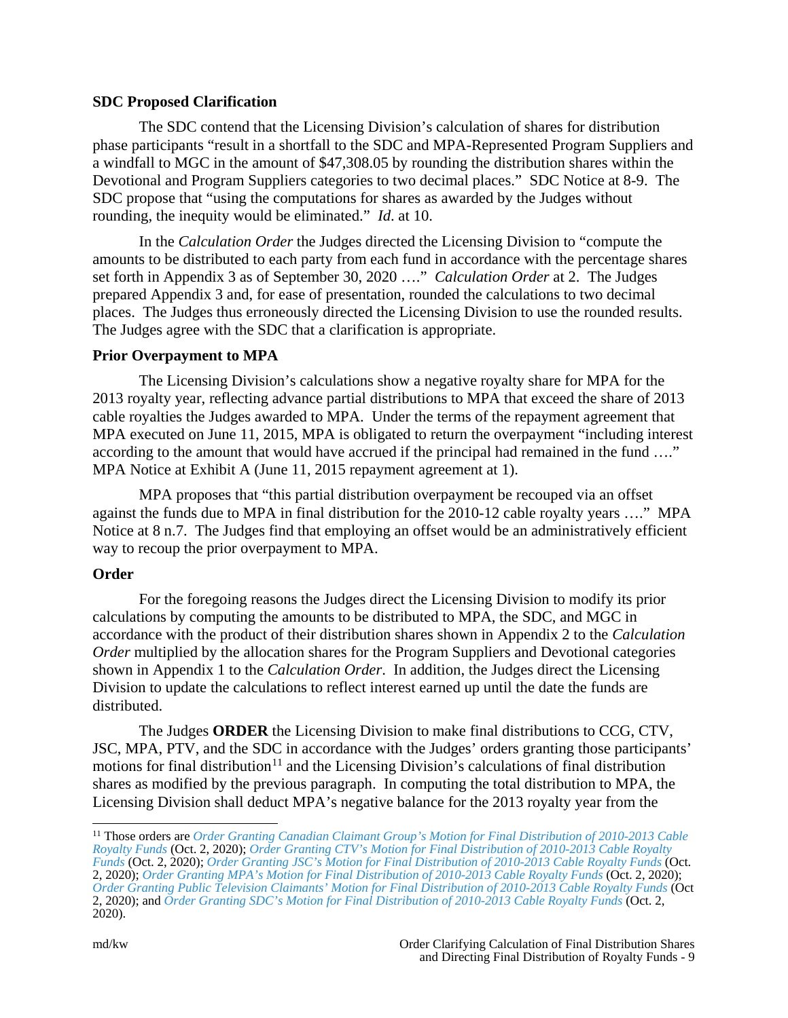## **SDC Proposed Clarification**

The SDC contend that the Licensing Division's calculation of shares for distribution phase participants "result in a shortfall to the SDC and MPA-Represented Program Suppliers and a windfall to MGC in the amount of \$47,308.05 by rounding the distribution shares within the Devotional and Program Suppliers categories to two decimal places." SDC Notice at 8-9. The SDC propose that "using the computations for shares as awarded by the Judges without rounding, the inequity would be eliminated." *Id*. at 10.

In the *Calculation Order* the Judges directed the Licensing Division to "compute the amounts to be distributed to each party from each fund in accordance with the percentage shares set forth in Appendix 3 as of September 30, 2020 …." *Calculation Order* at 2. The Judges prepared Appendix 3 and, for ease of presentation, rounded the calculations to two decimal places. The Judges thus erroneously directed the Licensing Division to use the rounded results. The Judges agree with the SDC that a clarification is appropriate.

# **Prior Overpayment to MPA**

The Licensing Division's calculations show a negative royalty share for MPA for the 2013 royalty year, reflecting advance partial distributions to MPA that exceed the share of 2013 cable royalties the Judges awarded to MPA. Under the terms of the repayment agreement that MPA executed on June 11, 2015, MPA is obligated to return the overpayment "including interest according to the amount that would have accrued if the principal had remained in the fund …." MPA Notice at Exhibit A (June 11, 2015 repayment agreement at 1).

MPA proposes that "this partial distribution overpayment be recouped via an offset against the funds due to MPA in final distribution for the 2010-12 cable royalty years …." MPA Notice at 8 n.7. The Judges find that employing an offset would be an administratively efficient way to recoup the prior overpayment to MPA.

# **Order**

For the foregoing reasons the Judges direct the Licensing Division to modify its prior calculations by computing the amounts to be distributed to MPA, the SDC, and MGC in accordance with the product of their distribution shares shown in Appendix 2 to the *Calculation Order* multiplied by the allocation shares for the Program Suppliers and Devotional categories shown in Appendix 1 to the *Calculation Order*. In addition, the Judges direct the Licensing Division to update the calculations to reflect interest earned up until the date the funds are distributed.

The Judges **ORDER** the Licensing Division to make final distributions to CCG, CTV, JSC, MPA, PTV, and the SDC in accordance with the Judges' orders granting those participants' motions for final distribution<sup>[11](#page-8-0)</sup> and the Licensing Division's calculations of final distribution shares as modified by the previous paragraph. In computing the total distribution to MPA, the Licensing Division shall deduct MPA's negative balance for the 2013 royalty year from the

<span id="page-8-0"></span> <sup>11</sup> Those orders are *[Order Granting Canadian Claimant Group's Motion for Final Distribution of 2010-2013 Cable](https://app.crb.gov/case/viewDocument/22771)  [Royalty Funds](https://app.crb.gov/case/viewDocument/22771)* (Oct. 2, 2020); *[Order Granting CTV's Motion for Final Distribution of 2010-2013 Cable Royalty](https://app.crb.gov/case/viewDocument/22773)  [Funds](https://app.crb.gov/case/viewDocument/22773)* (Oct. 2, 2020); *[Order Granting JSC's Motion for Final Distribution of 2010-2013 Cable Royalty Funds](https://app.crb.gov/case/viewDocument/22770)* (Oct. 2, 2020); *[Order Granting MPA's Motion for Final Distribution of 2010-2013 Cable Royalty Funds](https://app.crb.gov/case/viewDocument/22774)* (Oct. 2, 2020); *[Order Granting Public Television Claimants' Motion for Final Distribution of 2010-2013 Cable Royalty Funds](https://app.crb.gov/case/viewDocument/22775)* (Oct 2, 2020); and *[Order Granting SDC's Motion for Final Distribution of 2010-2013 Cable Royalty Funds](https://app.crb.gov/case/viewDocument/22772)* (Oct. 2, 2020).